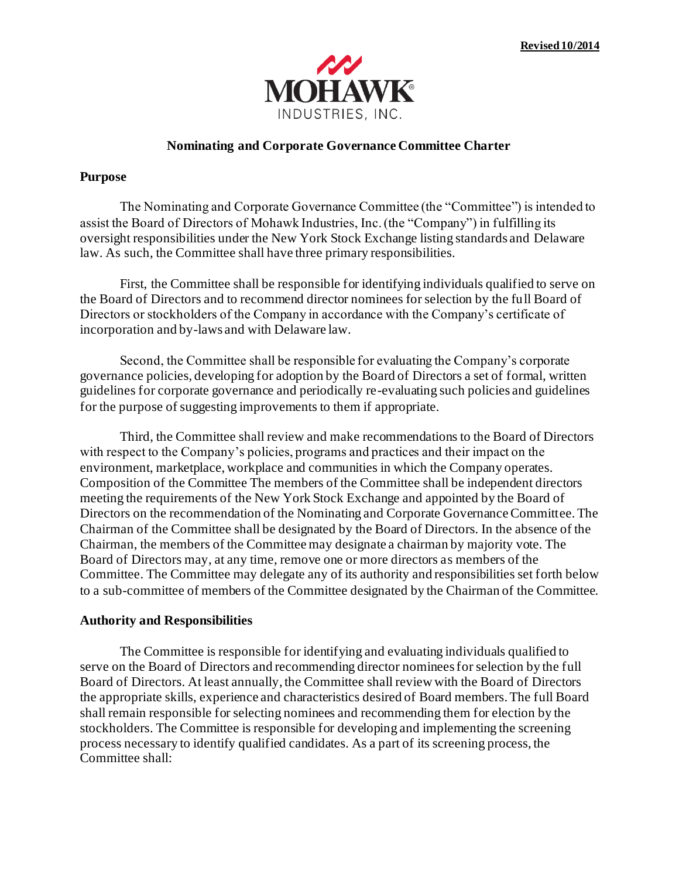

## **Nominating and Corporate Governance Committee Charter**

## **Purpose**

The Nominating and Corporate Governance Committee (the "Committee") is intended to assist the Board of Directors of Mohawk Industries, Inc. (the "Company") in fulfilling its oversight responsibilities under the New York Stock Exchange listing standards and Delaware law. As such, the Committee shall have three primary responsibilities.

First, the Committee shall be responsible for identifying individuals qualified to serve on the Board of Directors and to recommend director nominees for selection by the full Board of Directors or stockholders of the Company in accordance with the Company's certificate of incorporation and by-laws and with Delaware law.

Second, the Committee shall be responsible for evaluating the Company's corporate governance policies, developing for adoption by the Board of Directors a set of formal, written guidelines for corporate governance and periodically re-evaluating such policies and guidelines for the purpose of suggesting improvements to them if appropriate.

Third, the Committee shall review and make recommendations to the Board of Directors with respect to the Company's policies, programs and practices and their impact on the environment, marketplace, workplace and communities in which the Company operates. Composition of the Committee The members of the Committee shall be independent directors meeting the requirements of the New York Stock Exchange and appointed by the Board of Directors on the recommendation of the Nominating and Corporate Governance Committee. The Chairman of the Committee shall be designated by the Board of Directors. In the absence of the Chairman, the members of the Committee may designate a chairman by majority vote. The Board of Directors may, at any time, remove one or more directors as members of the Committee. The Committee may delegate any of its authority and responsibilities set forth below to a sub-committee of members of the Committee designated by the Chairman of the Committee.

## **Authority and Responsibilities**

The Committee is responsible for identifying and evaluating individuals qualified to serve on the Board of Directors and recommending director nominees for selection by the full Board of Directors. At least annually, the Committee shall review with the Board of Directors the appropriate skills, experience and characteristics desired of Board members. The full Board shall remain responsible for selecting nominees and recommending them for election by the stockholders. The Committee is responsible for developing and implementing the screening process necessary to identify qualified candidates. As a part of its screening process, the Committee shall: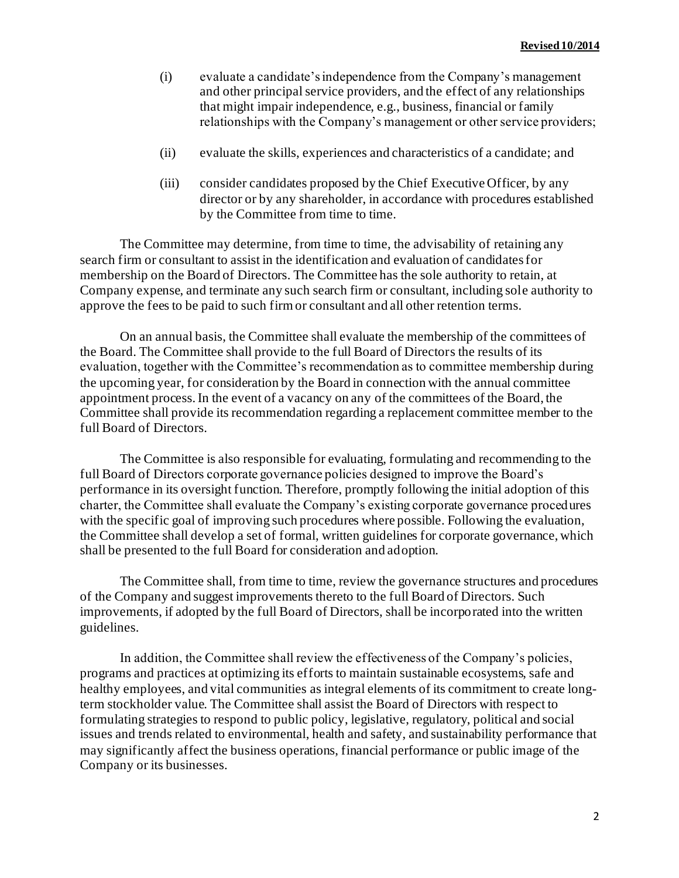- (i) evaluate a candidate's independence from the Company's management and other principal service providers, and the effect of any relationships that might impair independence, e.g., business, financial or family relationships with the Company's management or other service providers;
- (ii) evaluate the skills, experiences and characteristics of a candidate; and
- (iii) consider candidates proposed by the Chief Executive Officer, by any director or by any shareholder, in accordance with procedures established by the Committee from time to time.

The Committee may determine, from time to time, the advisability of retaining any search firm or consultant to assist in the identification and evaluation of candidates for membership on the Board of Directors. The Committee has the sole authority to retain, at Company expense, and terminate any such search firm or consultant, including sole authority to approve the fees to be paid to such firm or consultant and all other retention terms.

On an annual basis, the Committee shall evaluate the membership of the committees of the Board. The Committee shall provide to the full Board of Directors the results of its evaluation, together with the Committee's recommendation as to committee membership during the upcoming year, for consideration by the Board in connection with the annual committee appointment process. In the event of a vacancy on any of the committees of the Board, the Committee shall provide its recommendation regarding a replacement committee member to the full Board of Directors.

The Committee is also responsible for evaluating, formulating and recommending to the full Board of Directors corporate governance policies designed to improve the Board's performance in its oversight function. Therefore, promptly following the initial adoption of this charter, the Committee shall evaluate the Company's existing corporate governance procedures with the specific goal of improving such procedures where possible. Following the evaluation, the Committee shall develop a set of formal, written guidelines for corporate governance, which shall be presented to the full Board for consideration and adoption.

The Committee shall, from time to time, review the governance structures and procedures of the Company and suggest improvements thereto to the full Board of Directors. Such improvements, if adopted by the full Board of Directors, shall be incorporated into the written guidelines.

In addition, the Committee shall review the effectiveness of the Company's policies, programs and practices at optimizing its efforts to maintain sustainable ecosystems, safe and healthy employees, and vital communities as integral elements of its commitment to create longterm stockholder value. The Committee shall assist the Board of Directors with respect to formulating strategies to respond to public policy, legislative, regulatory, political and social issues and trends related to environmental, health and safety, and sustainability performance that may significantly affect the business operations, financial performance or public image of the Company or its businesses.